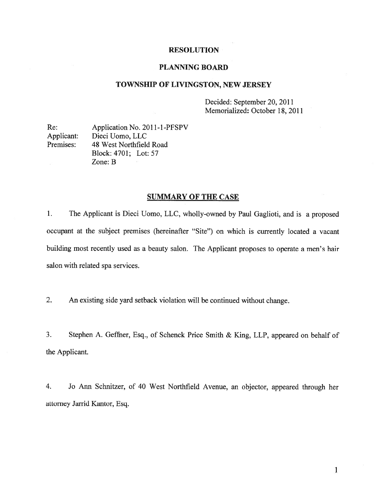# RESOLUTION

## PLANNING BOARD

#### TOWNSHIP OF LIVINGSTON, NEW JERSEY

Decided: September 20, 2011 Memorialized: October 18, 2011

Re: Application No. 2011-1-PFSPV Applicant: Dieci Uomo, LLC Premises: 48 West Northfield Road Block: 4701; Lot: 57 Zone: B

# SUMMARY OF THE CASE

1. The Applicant is Dieci Uomo, LLC, wholly-owned by Paul Gaglioti, and is <sup>a</sup> propose<sup>d</sup> occupan<sup>t</sup> at the subject premises (hereinafter "Site") on which is currently located <sup>a</sup> vacant building most recently used as <sup>a</sup> beauty salon. The Applicant proposes to operate <sup>a</sup> men's hair salon with related spa services.

2. An existing side yard setback violation will be continued without change.

3. Stephen A. Geffner, Esq., of Schenck Price Smith & King, LLP, appeared on behalf of the Applicant.

4. Jo Ann Schnitzer, of <sup>40</sup> West Northfield Avenue, an objector, appeare<sup>d</sup> through her attorney Jarrid Kantor, Esq.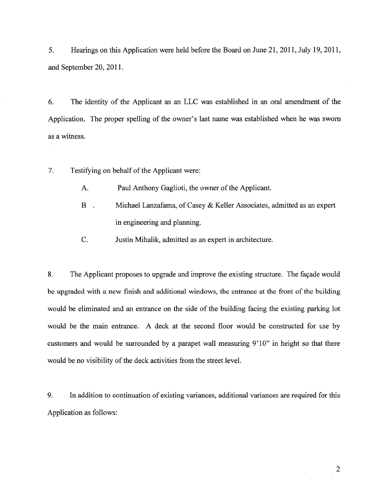5. Hearings on this Application were held before the Board on June 21, 2011, July 19, 2011, and September 20, 2011.

6. The identity of the Applicant as an LLC was established in an oral amendment of the Application. The proper spelling of the owner's last name was established when he was sworn as <sup>a</sup> witness.

7. Testifying on behalf of the Applicant were:

- A. Paul Anthony Gaglioti, the owner of the Applicant.
- B . Michael Lanzafama, of Casey & Keller Associates, admitted as an exper<sup>t</sup> in engineering and planning.
- C. Justin Mihalik, admitted as an exper<sup>t</sup> in architecture.

8. The Applicant proposes to upgrade and improve the existing structure. The façade would be upgraded with <sup>a</sup> new finish and additional windows, the entrance at the front of the building would be eliminated and an entrance on the side of the building facing the existing parking lot would be the main entrance. A deck at the second floor would be constructed for use by customers and would be surrounded by <sup>a</sup> parape<sup>t</sup> wall measuring 9'lO" in height so that there would be no visibility of the deck activities from the street level.

9. In addition to continuation of existing variances, additional variances are required for this Application as follows:

2

e)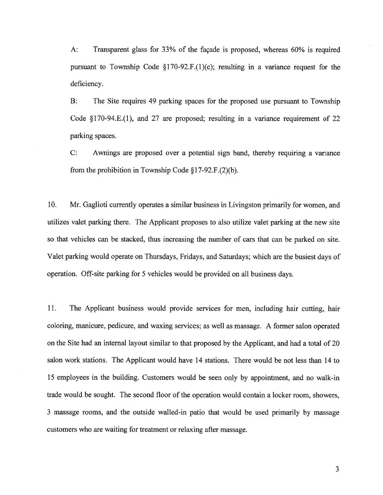A: Transparent glass for 33% of the façade is proposed, whereas 60% is required pursuant to Township Code  $\S170-92.F(1)(c)$ ; resulting in a variance request for the deficiency.

B: The Site requires 49 parking spaces for the proposed use pursuan<sup>t</sup> to Township Code §170-94.E.(1), and 27 are proposed; resulting in <sup>a</sup> variance requirement of 22 parking spaces.

C: Awnings are proposed over <sup>a</sup> potential sign band, thereby requiring <sup>a</sup> variance from the prohibition in Township Code  $\S 17-92.F.(2)(b)$ .

10. Mr. Gaglioti currently operates <sup>a</sup> similar business in Livingston primarily for women, and utilizes valet parking there. The Applicant proposes to also utilize valet parking at the new site so that vehicles can be stacked, thus increasing the number of cars that can be parked on site. Valet parking would operate on Thursdays, Fridays, and Saturdays; which are the busiest days of operation. Off-site parking for 5 vehicles would be provided on all business days.

11. The Applicant business would provide services for men, including hair cutting, hair coloring, manicure, pedicure, and waxing services; as well as massage. <sup>A</sup> former salon operated on the Site had an internal layout similar to that proposed by the Applicant, and had <sup>a</sup> total of 20 salon work stations. The Applicant would have 14 stations. There would be not less than 14 to 15 employees in the building. Customers would be seen only by appointment, and no walk-in trade would be sought. The second floor of the operation would contain <sup>a</sup> locker room, showers, 3 massage rooms, and the outside walled-in patio that would be used primarily by massage customers who are waiting for treatment or relaxing after massage.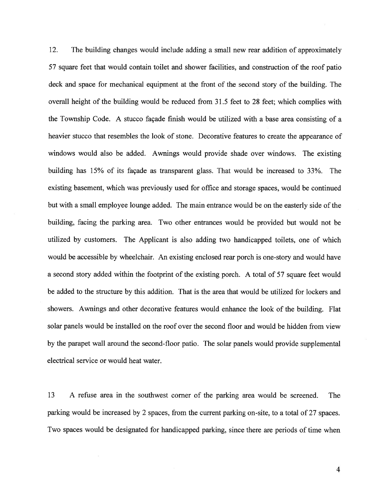12. The building changes would include adding <sup>a</sup> small new rear addition of approximately 57 square feet that would contain toilet and shower facilities, and construction of the roof patio deck and space for mechanical equipment at the front of the second story of the building. The overall height of the building would be reduced from 31.5 feet to 28 feet; which complies with the Township Code. A stucco façade finish would be utilized with <sup>a</sup> base area consisting of <sup>a</sup> heavier stucco that resembles the look of stone. Decorative features to create the appearance of windows would also be added. Awnings would provide shade over windows. The existing building has 15% of its façade as transparent glass. That would be increased to 33%. The existing basement, which was previously used for office and storage spaces, would be continued but with <sup>a</sup> small employee lounge added. The main entrance would be on the easterly side of the building, facing the parking area. Two other entrances would be provided but would not be utilized by customers. The Applicant is also adding two handicapped toilets, one of which would be accessible by wheelchair. An existing enclosed rear porch is one-story and would have <sup>a</sup> second story added within the footprint of the existing porch. A total of 57 square feet would be added to the structure by this addition. That is the area that would be utilized for lockers and showers. Awnings and other decorative features would enhance the look of the building. Flat solar panels would be installed on the roof over the second floor and would be hidden from view by the parape<sup>t</sup> wall around the second-floor patio. The solar panels would provide supplemental electrical service or would heat water.

13 A refuse area in the southwest corner of the parking area would be screened. The parking would be increased by <sup>2</sup> spaces, from the current parking on-site, to <sup>a</sup> total of 27 spaces. Two spaces would be designated for handicapped parking, since there are periods of time when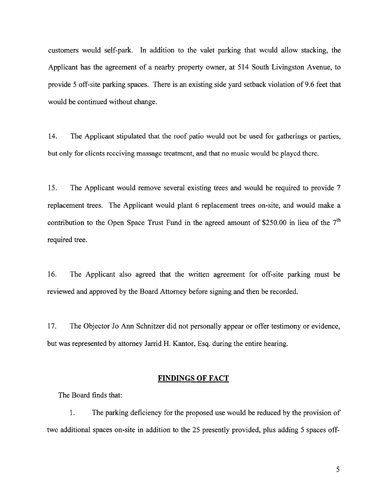customers would self-park. In addition to the valet parking that would allow stacking, the Applicant has the agreemen<sup>t</sup> of <sup>a</sup> nearby property owner, at 514 South Livingston Avenue, to provide 5 off-site parking spaces. There is an existing side yard setback violation of 9.6 feet that would be continued without change.

14. The Applicant stipulated that the roof patio would not be used for gatherings or parties, but only for clients receiving massage treatment, and that no music would be played there.

15. The Applicant would remove several existing trees and would be required to provide 7 replacement trees. The Applicant would plant 6 replacement trees on-site, and would make <sup>a</sup> contribution to the Open Space Trust Fund in the agreed amount of \$250.00 in lieu of the  $7<sup>th</sup>$ required tree.

16. The Applicant also agreed that the written agreemen<sup>t</sup> for off-site parking must be reviewed and approved by the Board Attorney before signing and then be recorded.

17. The Objector Jo Ann Schnitzer did not personally appear or offer testimony or evidence, but was represented by attorney Jarrid H. Kantor, Esq. during the entire hearing.

# FINDINGS OF FACT

The Board finds that:

1. The parking deficiency for the proposed use would be reduced by the provision of two additional spaces on-site in addition to the 25 presently provided, plus adding 5 spaces off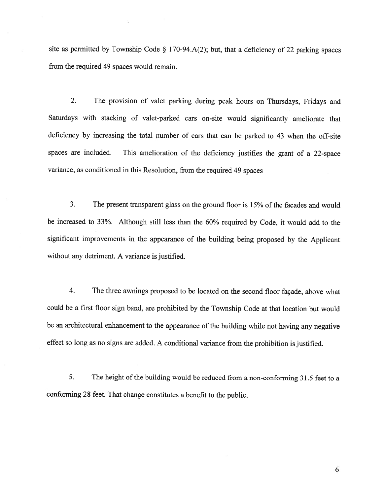site as permitted by Township Code § 170-94.A(2); but, that a deficiency of 22 parking spaces from the required 49 spaces would remain.

2. The provision of valet parking during peak hours on Thursdays, Fridays and Saturdays with stacking of valet-parked cars on-site would significantly ameliorate that deficiency by increasing the total number of cars that can be parked to <sup>43</sup> when the off-site spaces are included. This amelioration of the deficiency justifies the grant of <sup>a</sup> 22-space variance, as conditioned in this Resolution, from the required <sup>49</sup> spaces

3. The present transparent glass on the ground floor is 15% of the facades and would be increased to 33%. Although still less than the 60% required by Code, it would add to the significant improvements in the appearance of the building being proposed by the Applicant without any detriment. A variance is justified.

4. The three awnings proposed to be located on the second floor façade, above what could be <sup>a</sup> first floor sign band, are prohibited by the Township Code at that location but would be an architectural enhancement to the appearance of the building while not having any negative effect so long as no signs are added. <sup>A</sup> conditional variance from the prohibition is justified.

5. The height of the building would be reduced from a non-conforming 31.5 feet to a conforming <sup>28</sup> feet. That change constitutes <sup>a</sup> benefit to the public.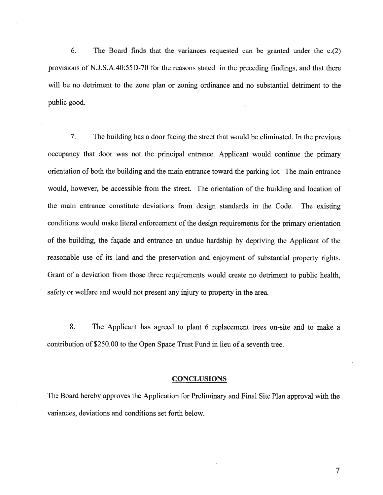6. The Board finds that the variances requested can be granted under the c.(2) provisions of N.J.S.A.40:55D-70 for the reasons stated in the preceding findings, and that there will be no detriment to the zone plan or zoning ordinance and no substantial detriment to the public good.

7. The building has <sup>a</sup> door facing the street that would be eliminated. In the previous occupancy that door was not the principal entrance. Applicant would continue the primary orientation of both the building and the main entrance toward the parking lot. The main entrance would, however, be accessible from the street. The orientation of the building and location of the main entrance constitute deviations from design standards in the Code. The existing conditions would make literal enforcement of the design requirements for the primary orientation of the building, the façade and entrance an undue hardship by depriving the Applicant of the reasonable use of its land and the preservation and enjoyment of substantial property rights. Grant of <sup>a</sup> deviation from those three requirements would create no detriment to public health, safety or welfare and would not presen<sup>t</sup> any injury to property in the area.

8. The Applicant has agreed to plant 6 replacement trees on-site and to make <sup>a</sup> contribution of \$250.00 to the Open Space Trust Fund in lieu of <sup>a</sup> seventh tree.

#### **CONCLUSIONS**

The Board hereby approves the Application for Preliminary and Final Site Plan approval with the variances, deviations and conditions set forth below.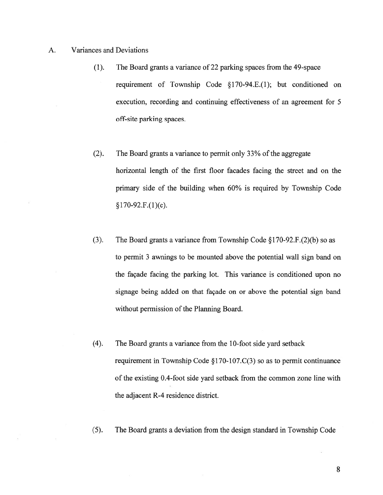- A. Variances and Deviations
	- (1). The Board grants <sup>a</sup> variance of 22 parking spaces from the 49-space requirement of Township Code §170-94.E.(1); but conditioned on execution, recording and continuing effectiveness of an agreemen<sup>t</sup> for 5 off-site parking spaces.
	- (2). The Board grants a variance to permit only 33% of the aggregate horizontal length of the first floor facades facing the street and on the primary side of the building when 60% is required by Township Code  $§170-92.F.(1)(c).$
	- (3). The Board grants a variance from Township Code  $\S170-92.F.(2)(b)$  so as to permit 3 awnings to be mounted above the potential wall sign band on the façade facing the parking lot. This variance is conditioned upon no signage being added on that façade on or above the potential sign band without permission of the Planning Board.
	- (4). The Board grants <sup>a</sup> variance from the 10-foot side yard setback requirement in Township Code  $\S170-107$ .C(3) so as to permit continuance of the existing 0.4-foot side yard setback from the common zone line with the adjacent R-4 residence district.
	- (5). The Board grants <sup>a</sup> deviation from the design standard in Township Code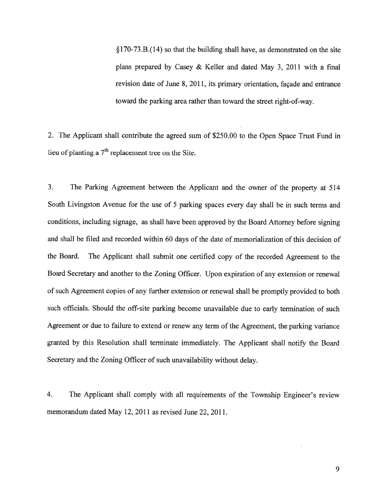§170-73.B.(14) so that the building shall have, as demonstrated on the site plans prepared by Casey & Keller and dated May 3, 2011 with <sup>a</sup> final revision date of June 8, 2011, its primary orientation, façade and entrance toward the parking area rather than toward the street right-of-way.

2. The Applicant shall contribute the agree<sup>d</sup> sum of \$250.00 to the Open Space Trust Fund in lieu of planting a  $7<sup>th</sup>$  replacement tree on the Site.

3. The Parking Agreement between the Applicant and the owner of the property at <sup>514</sup> South Livingston Avenue for the use of <sup>5</sup> parking spaces every day shall be in such terms and conditions, including signage, as shall have been approve<sup>d</sup> by the Board Attorney before signing and shall be filed and recorded within 60 days of the date of memorialization of this decision of the Board. The Applicant shall submit one certified copy of the recorded Agreement to the Board Secretary and another to the Zoning Officer. Upon expiration of any extension or renewal of such Agreement copies of any further extension or renewal shall be promptly provided to both such officials. Should the off-site parking become unavailable due to early termination of such Agreement or due to failure to extend or renew any term of the Agreement, the parking variance granted by this Resolution shall terminate immediately. The Applicant shall notify the Board Secretary and the Zoning Officer of such unavailability without delay.

4. The Applicant shall comply with all requirements of the Township Engineer's review memorandum dated May 12, 2011 as revised June 22, 2011.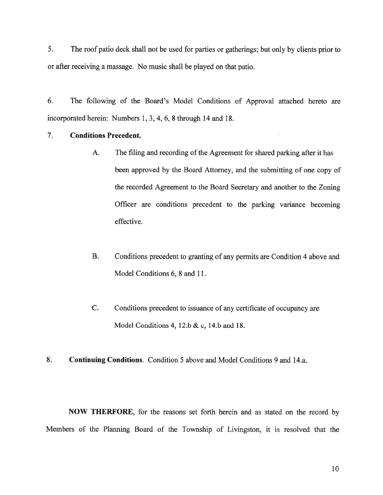5. The roof patio deck shall not be used for parties or gatherings; but only by clients prior to or after receiving <sup>a</sup> massage. No music shall be played on that patio.

6. The following of the Board's Model Conditions of Approval attached hereto are incorporated herein: Numbers 1, 3, 4, 6, 8 through 14 and 18.

# 7. Conditions Precedent.

- A. The filing and recording of the Agreement for shared parking after it has been approved by the Board Attorney, and the submitting of one copy of the recorded Agreement to the Board Secretary and another to the Zoning Officer are conditions precedent to the parking variance becoming effective.
- B. Conditions precedent to granting of any permits are Condition 4 above and Model Conditions 6, 8 and 11.
- C. Conditions precedent to issuance of any certificate of occupancy are Model Conditions 4, 12.b & c, 14.b and 18.
- 8. Continuing Conditions. Condition 5 above and Model Conditions 9 and 14.a.

NOW THERFORE, for the reasons set forth herein and as stated on the record by Members of the Planning Board of the Township of Livingston, it is resolved that the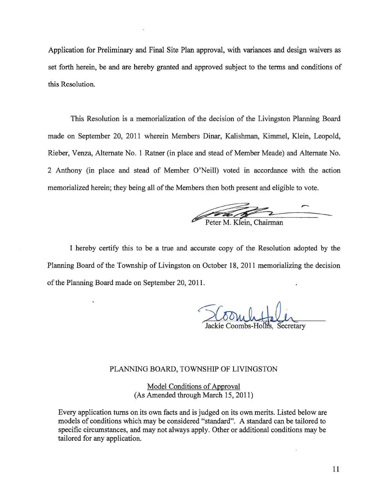Application for Preliminary and Final Site Plan approval, with variances and design waivers as set forth herein, be and are hereby granted and approved subject to the terms and conditions of this Resolution.

This Resolution is <sup>a</sup> memorialization of the decision of the Livingston Planning Board made on September 20, 2011 wherein Members Dinar, Kalishman, Kimmel, Klein, Leopold, Rieber, Venza, Alternate No. 1 Ratner (in place and stead of Member Meade) and Alternate No. 2 Anthony (in place and stead of Member O'Neill) voted in accordance with the action memorialized herein; they being all of the Members then both present and eligible to vote.

Peter M. Klein, Chairman

I hereby certify this to be <sup>a</sup> true and accurate copy of the Resolution adopted by the Planning Board of the Township of Livingston on October 18, 2011 memorializing the decision of the Planning Board made on September 20, 2011.

ackie Coombs-Hollis, Secretary

#### PLANNING BOARD, TOWNSHIP OF LIVINGSTON

Model Conditions of Approval (As Amended through March 15, 2011)

Every application turns on its own facts and is judged on its own merits. Listed below are models of conditions which may be considered "standard". A standard can be tailored to specific circumstances, and may not always apply. Other or additional conditions may be tailored for any application.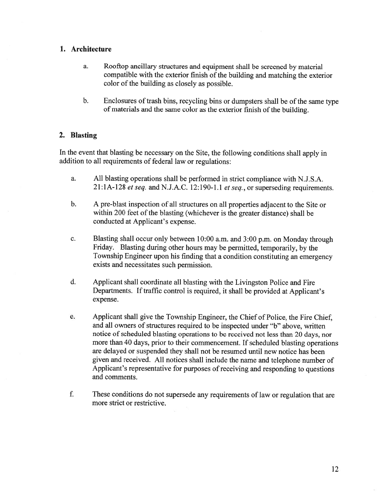# 1. Architecture

- a. Rooftop ancillary structures and equipment shall be screened by material compatible with the exterior finish of the building and matching the exterior color of the building as closely as possible.
- b. Enclosures of trash bins, recycling bins or dumpsters shall be of the same type of materials and the same color as the exterior finish of the building.

# 2. Blasting

In the event that blasting be necessary on the Site, the following conditions shall apply in addition to all requirements of federal law or regulations:

- a. All blasting operations shall be performed in strict compliance with N.J.S.A.  $21:1A-128$  et seq. and N.J.A.C. 12:190-1.1 et seq., or superseding requirements.
- b. <sup>A</sup> pre-blast inspection of all structures on all properties adjacent to the Site or within 200 feet of the blasting (whichever is the greater distance) shall be conducted at Applicant's expense.
- c. Blasting shall occur only between 10:00 a.m. and 3:00 p.m. on Monday through Friday. Blasting during other hours may be permitted, temporarily, by the Township Engineer upon his finding that <sup>a</sup> condition constituting an emergency exists and necessitates such permission.
- d. Applicant shall coordinate all blasting with the Livingston Police and Fire Departments. If traffic control is required, it shall be provided at Applicant's expense.
- e. Applicant shall give the Township Engineer, the Chief of Police, the Fire Chief, and all owners of structures required to be inspected under "b" above, written notice of scheduled blasting operations to be received not less than 20 days, nor more than <sup>40</sup> days. prior to their commencement. If scheduled blasting operations are delayed or suspended they shall not be resumed until new notice has been <sup>g</sup>iven and received. All notices shall include the name and telephone number of Applicant's representative for purposes of receiving and responding to questions and comments.
- f. These conditions do not supersede any requirements of law or regulation that are more strict or restrictive.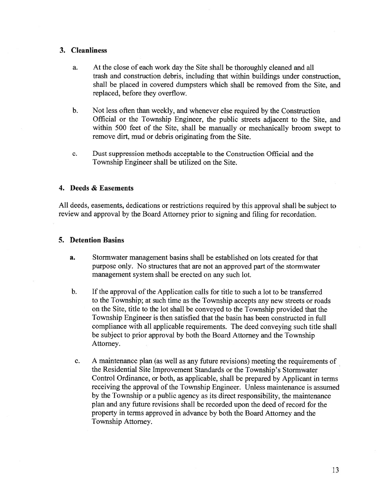# 3. Cleanliness

- a. At the close of each work day the Site shall be thoroughly cleaned and all trash and construction debris, including that within buildings under construction, shall be placed in covered dumpsters which shall be removed from the Site, and replaced, before they overflow.
- b. Not less often than weekly, and whenever else required by the Construction Official or the Township Engineer, the public streets adjacent to the Site, and within 500 feet of the Site, shall be manually or mechanically broom swep<sup>t</sup> to remove dirt, mud or debris originating from the Site.
- c. Dust suppression methods acceptable to the Construction Official and the Township Engineer shall be utilized on the Site.

## 4. Deeds & Easements

All deeds, easements, dedications or restrictions required by this approva<sup>l</sup> shall be subject to review and approva<sup>l</sup> by the Board Attorney prior to signing and filing for recordation.

## 5. Detention Basins

- a. Stormwater managemen<sup>t</sup> basins shall be established on lots created for that purpose only. No structures that are not an approved part of the stormwater managemen<sup>t</sup> system shall be erected on any such lot.
- b. If the approval of the Application calls for title to such a lot to be transferred to the Township; at such time as the Township accepts any new streets or roads on the Site, title to the lot shall be conveyed to the Township provided that the Township Engineer is then satisfied that the basin has been constructed in full compliance with all applicable requirements. The deed conveying such title shall be subject to prior approval by both the Board Attorney and the Township Attorney.
- c. A maintenance plan (as well as any future revisions) meeting the requirements of the Residential Site Improvement Standards or the Township's Stormwater Control Ordinance, or both, as applicable, shall be prepared by Applicant in terms receiving the approval of the Township Engineer. Unless maintenance is assumed by the Township or <sup>a</sup> public agency as its direct responsibility, the maintenance <sup>p</sup>lan and any future revisions shall be recorded upon the deed of record for the property in terms approved in advance by both the Board Attorney and the Township Attorney.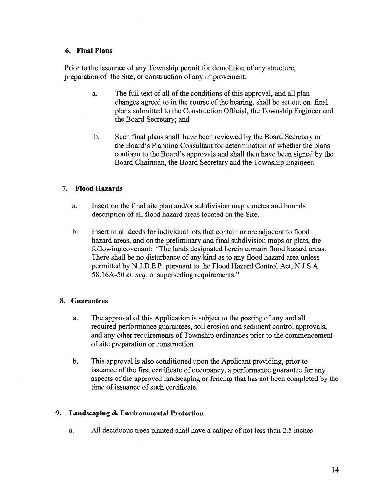# 6. Final Plans

Prior to the issuance of any Township permit for demolition of any structure, preparation of the Site, or construction of any improvement:

- a. The full text of all of the conditions of this approval, and all plan changes agreed to in the course of the hearing, shall be set out on final plans submitted to the Construction Official, the Township Engineer and the Board Secretary; and
- b. Such final plans shall have been reviewed by the Board Secretary or the Board's Planning Consultant for determination of whether the plans conform to the Board's approvals and shall then have been signed by the Board Chairman, the Board Secretary and the Township Engineer.

## 7. Flood Hazards

- a. Insert on the final site plan and/or subdivision map <sup>a</sup> metes and bounds description of all flood hazard areas located on the Site.
- b. Insert in all deeds for individual lots that contain or are adjacent to flood hazard areas, and on the preliminary and final subdivision maps or plats, the following covenant: "The lands designated herein contain flood hazard areas. There shall be no disturbance of any kind as to any flood hazard area unless permitted by N.J.D.E.P. pursuan<sup>t</sup> to the Flood Hazard Control Act, N.J.S.A. 58:16A-50 et. seq. or superseding requirements."

## 8. Guarantees

- a. The approval of this Application is subject to the posting of any and all required performance guarantees, soil erosion and sediment control approvals, and any other requirements of Township ordinances prior to the commencement of site preparation or construction.
- b. This approval is also conditioned upon the Applicant providing, prior to issuance of the first certificate of occupancy, <sup>a</sup> performance guarantee for any aspects of the approved landscaping or fencing that has not been completed by the time of issuance of such certificate.

# 9. Landscaping & Environmental Protection

a. All deciduous trees planted shall have <sup>a</sup> caliper of not less than 2.5 inches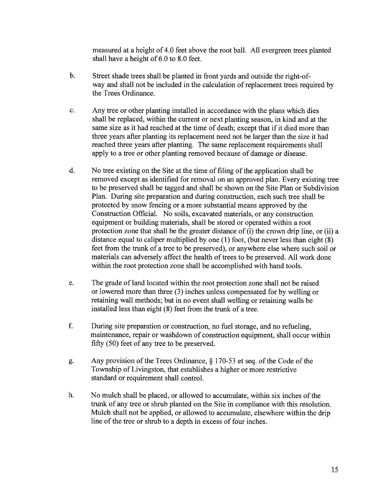measured at <sup>a</sup> height of 4.0 feet above the root ball. All evergreen trees planted shall have <sup>a</sup> height of 6.0 to 8.0 feet.

- b. Street shade trees shall be planted in front yards and outside the right-ofway and shall not be included in the calculation of replacement trees required by the Trees Ordinance.
- c. Any tree or other planting installed in accordance with the plans which dies shall be replaced, within the current or next planting season, in kind and at the same size as it had reached at the time of death; excep<sup>t</sup> that if it died more than three years after planting its replacement need not be larger than the size it had reached three years after planting. The same replacement requirements shall apply to <sup>a</sup> tree or other planting removed because of damage or disease.
- d. No tree existing on the Site at the time of filing of the application shall be removed excep<sup>t</sup> as identified for removal on an approved <sup>p</sup>lan. Every existing tree to be preserved shall be tagged and shall be shown on the Site Plan or Subdivision Plan. During site preparation and during construction, each such tree shall be protected by snow fencing or <sup>a</sup> more substantial means approved by the Construction Official. No soils, excavated materials, or any construction equipment or building materials, shall be stored or operated within <sup>a</sup> root protection zone that shall be the greater distance of (i) the crown drip line, or (ii) <sup>a</sup> distance equa<sup>l</sup> to caliper multiplied by one (1) foot, (but never less than eight (8) feet from the trunk of <sup>a</sup> tree to be preserved), or anywhere else where such soil or materials can adversely affect the health of trees to be preserved. All work done within the root protection zone shall be accomplished with hand tools.
- e. The grade of land located within the root protection zone shall not be raised or lowered more than three (3) inches unless compensated for by welling or retaining wall methods; but in no event shall welling or retaining walls be installed less than eight (8) feet from the trunk of <sup>a</sup> tree.
- f. During site preparation or construction, no fuel storage, and no refueling, maintenance, repair or washdown of construction equipment, shall occur within fifty (50) feet of any tree to be preserved.
- g. Any provision of the Trees Ordinance,  $\S$  170-53 et seq. of the Code of the Township of Livingston, that establishes <sup>a</sup> higher or more restrictive standard or requirement shall control.
- h. No mulch shall be placed, or allowed to accumulate, within six inches of the trunk of any tree or shrub planted on the Site in compliance with this resolution. Mulch shall not be applied, or allowed to accumulate, elsewhere within the drip line of the tree or shrub to <sup>a</sup> depth in excess of four inches.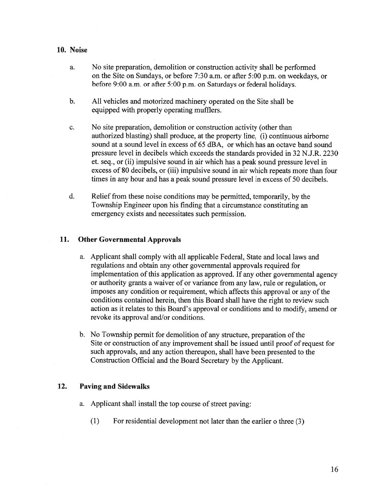# 10. Noise

- a. No site preparation, demolition or construction activity shall be performed on the Site on Sundays, or before 7:30 a.m. or after 5:00 p.m. on weekdays, or before 9:00 a.m. or after 5:00 p.m. on Saturdays or federal holidays.
- b. All vehicles and motorized machinery operated on the Site shall be equipped with properly operating mufflers.
- c. No site preparation, demolition or construction activity (other than authorized blasting) shall produce, at the property line, (i) continuous airborne sound at <sup>a</sup> sound level in excess of 65 dBA, or which has an octave band sound pressure level in decibels which exceeds the standards provided in 32 N.J.R. 2230 et. seq., or (ii) impulsive sound in air which has <sup>a</sup> peak sound pressure level in excess of 80 decibels, or (iii) impulsive sound in air which repeats more than four times in any hour and has <sup>a</sup> peak sound pressure level in excess of 50 decibels.
- d. Relief from these noise conditions may be permitted, temporarily, by the Township Engineer upon his finding that <sup>a</sup> circumstance constituting an emergency exists and necessitates such permission.

# 11. Other Governmental Approvals

- a. Applicant shall comply with all applicable Federal, State and local laws and regulations and obtain any other governmental approvals required for implementation of this application as approved. If any other governmental agency or authority grants <sup>a</sup> waiver of or variance from any law, rule or regulation, or imposes any condition or requirement, which affects this approval or any of the conditions contained herein, then this Board shall have the right to review such action as it relates to this Board's approval or conditions and to modify, amend or revoke its approval and/or conditions.
- b. No Township permit for demolition of any structure, preparation of the Site or construction of any improvement shall be issued until proo<sup>f</sup> of reques<sup>t</sup> for such approvals, and any action thereupon, shall have been presented to the Construction Official and the Board Secretary by the Applicant.

# 12. Paving and Sidewalks

- a. Applicant shall install the top course of street paving:
	- (1) For residential development not later than the earlier <sup>o</sup> three (3)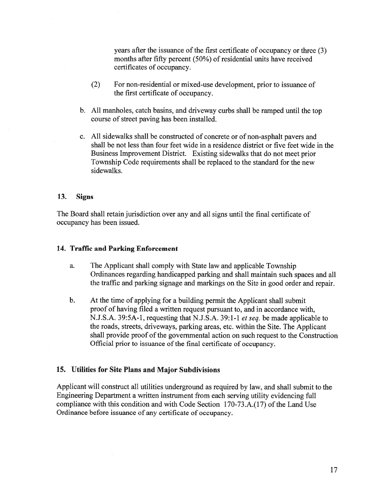years after the issuance of the first certificate of occupancy or three (3) months after fifty percent  $(50\%)$  of residential units have received certificates of occupancy.

- (2) For non-residential or mixed-use development, prior to issuance of the first certificate of occupancy.
- b. All manholes, catch basins, and driveway curbs shall be ramped until the top course of street paving has been installed.
- c. All sidewalks shall be constructed of concrete or of non-asphalt payers and shall be not less than four feet wide in <sup>a</sup> residence district or five feet wide in the Business Improvement District. Existing sidewalks that do not meet prior Township Code requirements shall be replaced to the standard for the new sidewalks.

# 13. Signs

The Board shall retain jurisdiction over any and all signs until the final certificate of occupancy has been issued.

# 14. Traffic and Parking Enforcement

- a. The Applicant shall comply with State law and applicable Township Ordinances regarding handicapped parking and shall maintain such spaces and all the traffic and parking signage and markings on the Site in good order and repair.
- b. At the time of applying for <sup>a</sup> building permit the Applicant shall submit proof of having filed <sup>a</sup> written reques<sup>t</sup> pursuan<sup>t</sup> to, and in accordance with, N.J.S.A. 39:5A-l , requesting that N.J.S.A. 39:1-1 et seq. be made applicable to the roads, streets, driveways, parking areas, etc. within the Site. The Applicant shall provide proof of the governmental action on such request to the Construction Official prior to issuance of the final certificate of occupancy.

#### 15. Utilities for Site Plans and Major Subdivisions

Applicant will construct all utilities underground as required by law, and shall submit to the Engineering Department <sup>a</sup> written instrument from each serving utility evidencing full compliance with this condition and with Code Section 170-73.A.(l7) of the Land Use Ordinance before issuance of any certificate of occupancy.